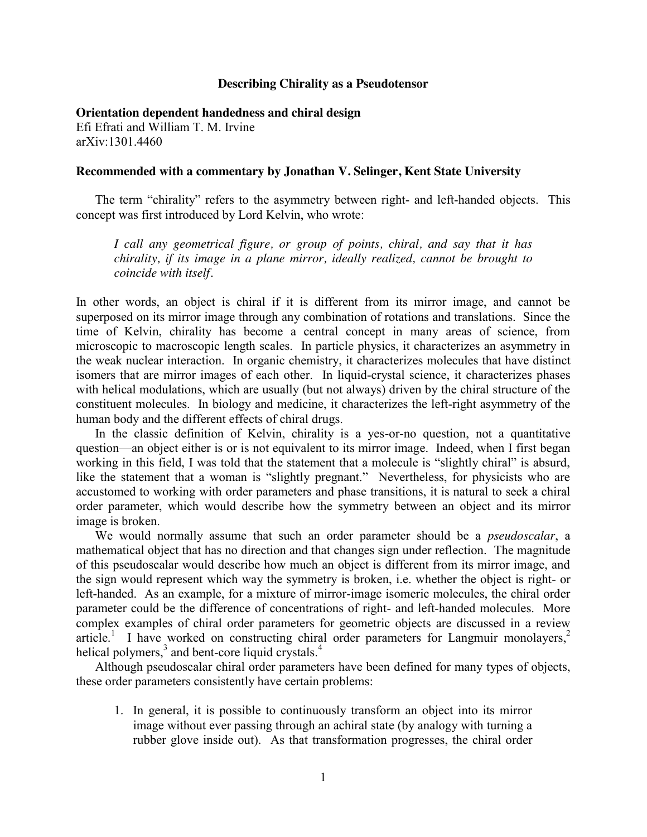## **Describing Chirality as a Pseudotensor**

**Orientation dependent handedness and chiral design** Efi Efrati and William T. M. Irvine arXiv:1301.4460

## **Recommended with a commentary by Jonathan V. Selinger, Kent State University**

The term "chirality" refers to the asymmetry between right- and left-handed objects. This concept was first introduced by Lord Kelvin, who wrote:

*I call any geometrical figure, or group of points, chiral, and say that it has chirality, if its image in a plane mirror, ideally realized, cannot be brought to coincide with itself.*

In other words, an object is chiral if it is different from its mirror image, and cannot be superposed on its mirror image through any combination of rotations and translations. Since the time of Kelvin, chirality has become a central concept in many areas of science, from microscopic to macroscopic length scales. In particle physics, it characterizes an asymmetry in the weak nuclear interaction. In organic chemistry, it characterizes molecules that have distinct isomers that are mirror images of each other. In liquid-crystal science, it characterizes phases with helical modulations, which are usually (but not always) driven by the chiral structure of the constituent molecules. In biology and medicine, it characterizes the left-right asymmetry of the human body and the different effects of chiral drugs.

In the classic definition of Kelvin, chirality is a yes-or-no question, not a quantitative question—an object either is or is not equivalent to its mirror image. Indeed, when I first began working in this field, I was told that the statement that a molecule is "slightly chiral" is absurd, like the statement that a woman is "slightly pregnant." Nevertheless, for physicists who are accustomed to working with order parameters and phase transitions, it is natural to seek a chiral order parameter, which would describe how the symmetry between an object and its mirror image is broken.

We would normally assume that such an order parameter should be a *pseudoscalar*, a mathematical object that has no direction and that changes sign under reflection. The magnitude of this pseudoscalar would describe how much an object is different from its mirror image, and the sign would represent which way the symmetry is broken, i.e. whether the object is right- or left-handed. As an example, for a mixture of mirror-image isomeric molecules, the chiral order parameter could be the difference of concentrations of right- and left-handed molecules. More complex examples of chiral order parameters for geometric objects are discussed in a review article.<sup>1</sup> I have worked on constructing chiral order parameters for Langmuir monolayers,<sup>2</sup> helical polymers,<sup>3</sup> and bent-core liquid crystals.<sup>4</sup>

Although pseudoscalar chiral order parameters have been defined for many types of objects, these order parameters consistently have certain problems:

1. In general, it is possible to continuously transform an object into its mirror image without ever passing through an achiral state (by analogy with turning a rubber glove inside out). As that transformation progresses, the chiral order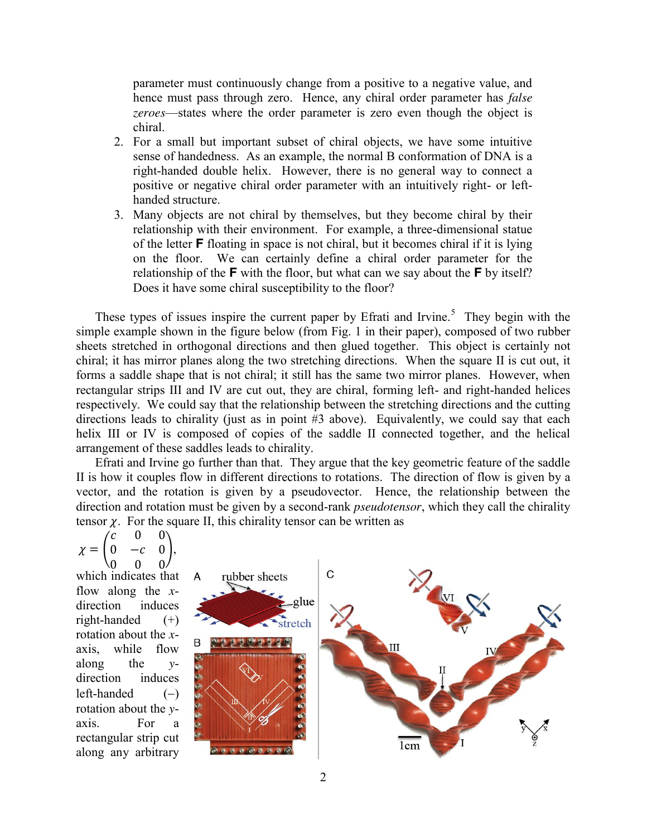parameter must continuously change from a positive to a negative value, and hence must pass through zero. Hence, any chiral order parameter has *false zeroes*—states where the order parameter is zero even though the object is chiral.

- 2. For a small but important subset of chiral objects, we have some intuitive sense of handedness. As an example, the normal B conformation of DNA is a right-handed double helix. However, there is no general way to connect a positive or negative chiral order parameter with an intuitively right- or lefthanded structure.
- 3. Many objects are not chiral by themselves, but they become chiral by their relationship with their environment. For example, a three-dimensional statue of the letter **F** floating in space is not chiral, but it becomes chiral if it is lying on the floor. We can certainly define a chiral order parameter for the relationship of the **F** with the floor, but what can we say about the **F** by itself? Does it have some chiral susceptibility to the floor?

These types of issues inspire the current paper by Efrati and Irvine.<sup>5</sup> They begin with the simple example shown in the figure below (from Fig. 1 in their paper), composed of two rubber sheets stretched in orthogonal directions and then glued together. This object is certainly not chiral; it has mirror planes along the two stretching directions. When the square II is cut out, it forms a saddle shape that is not chiral; it still has the same two mirror planes. However, when rectangular strips III and IV are cut out, they are chiral, forming left- and right-handed helices respectively. We could say that the relationship between the stretching directions and the cutting directions leads to chirality (just as in point #3 above). Equivalently, we could say that each helix III or IV is composed of copies of the saddle II connected together, and the helical arrangement of these saddles leads to chirality.

Efrati and Irvine go further than that. They argue that the key geometric feature of the saddle II is how it couples flow in different directions to rotations. The direction of flow is given by a vector, and the rotation is given by a pseudovector. Hence, the relationship between the direction and rotation must be given by a second-rank *pseudotensor*, which they call the chirality tensor  $\chi$ . For the square II, this chirality tensor can be written as